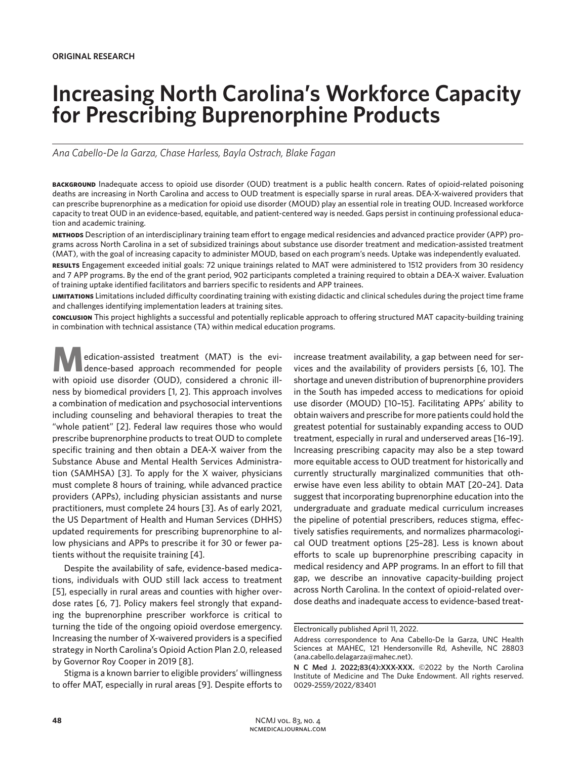# **Increasing North Carolina's Workforce Capacity for Prescribing Buprenorphine Products**

*Ana Cabello-De la Garza, Chase Harless, Bayla Ostrach, Blake Fagan*

**background** Inadequate access to opioid use disorder (OUD) treatment is a public health concern. Rates of opioid-related poisoning deaths are increasing in North Carolina and access to OUD treatment is especially sparse in rural areas. DEA-X-waivered providers that can prescribe buprenorphine as a medication for opioid use disorder (MOUD) play an essential role in treating OUD. Increased workforce capacity to treat OUD in an evidence-based, equitable, and patient-centered way is needed. Gaps persist in continuing professional education and academic training.

**methods** Description of an interdisciplinary training team effort to engage medical residencies and advanced practice provider (APP) programs across North Carolina in a set of subsidized trainings about substance use disorder treatment and medication-assisted treatment (MAT), with the goal of increasing capacity to administer MOUD, based on each program's needs. Uptake was independently evaluated.

**results** Engagement exceeded initial goals: 72 unique trainings related to MAT were administered to 1512 providers from 30 residency and 7 APP programs. By the end of the grant period, 902 participants completed a training required to obtain a DEA-X waiver. Evaluation of training uptake identified facilitators and barriers specific to residents and APP trainees.

**limitations** Limitations included difficulty coordinating training with existing didactic and clinical schedules during the project time frame and challenges identifying implementation leaders at training sites.

**conclusion** This project highlights a successful and potentially replicable approach to offering structured MAT capacity-building training in combination with technical assistance (TA) within medical education programs.

**M**edication-assisted treatment (MAT) is the evi-<br>dence-based approach recommended for people with opioid use disorder (OUD), considered a chronic illness by biomedical providers [1, 2]. This approach involves a combination of medication and psychosocial interventions including counseling and behavioral therapies to treat the "whole patient" [2]. Federal law requires those who would prescribe buprenorphine products to treat OUD to complete specific training and then obtain a DEA-X waiver from the Substance Abuse and Mental Health Services Administration (SAMHSA) [3]. To apply for the X waiver, physicians must complete 8 hours of training, while advanced practice providers (APPs), including physician assistants and nurse practitioners, must complete 24 hours [3]. As of early 2021, the US Department of Health and Human Services (DHHS) updated requirements for prescribing buprenorphine to allow physicians and APPs to prescribe it for 30 or fewer patients without the requisite training [4].

Despite the availability of safe, evidence-based medications, individuals with OUD still lack access to treatment [5], especially in rural areas and counties with higher overdose rates [6, 7]. Policy makers feel strongly that expanding the buprenorphine prescriber workforce is critical to turning the tide of the ongoing opioid overdose emergency. Increasing the number of X-waivered providers is a specified strategy in North Carolina's Opioid Action Plan 2.0, released by Governor Roy Cooper in 2019 [8].

Stigma is a known barrier to eligible providers' willingness to offer MAT, especially in rural areas [9]. Despite efforts to increase treatment availability, a gap between need for services and the availability of providers persists [6, 10]. The shortage and uneven distribution of buprenorphine providers in the South has impeded access to medications for opioid use disorder (MOUD) [10–15]. Facilitating APPs' ability to obtain waivers and prescribe for more patients could hold the greatest potential for sustainably expanding access to OUD treatment, especially in rural and underserved areas [16–19]. Increasing prescribing capacity may also be a step toward more equitable access to OUD treatment for historically and currently structurally marginalized communities that otherwise have even less ability to obtain MAT [20–24]. Data suggest that incorporating buprenorphine education into the undergraduate and graduate medical curriculum increases the pipeline of potential prescribers, reduces stigma, effectively satisfies requirements, and normalizes pharmacological OUD treatment options [25–28]. Less is known about efforts to scale up buprenorphine prescribing capacity in medical residency and APP programs. In an effort to fill that gap, we describe an innovative capacity-building project across North Carolina. In the context of opioid-related overdose deaths and inadequate access to evidence-based treat-

Electronically published April 11, 2022.

Address correspondence to Ana Cabello-De la Garza, UNC Health Sciences at MAHEC, 121 Hendersonville Rd, Asheville, NC 28803 (ana.cabello.delagarza@mahec.net).

**N C Med J. 2022;83(4):XXX-XXX.** ©2022 by the North Carolina Institute of Medicine and The Duke Endowment. All rights reserved. 0029-2559/2022/83401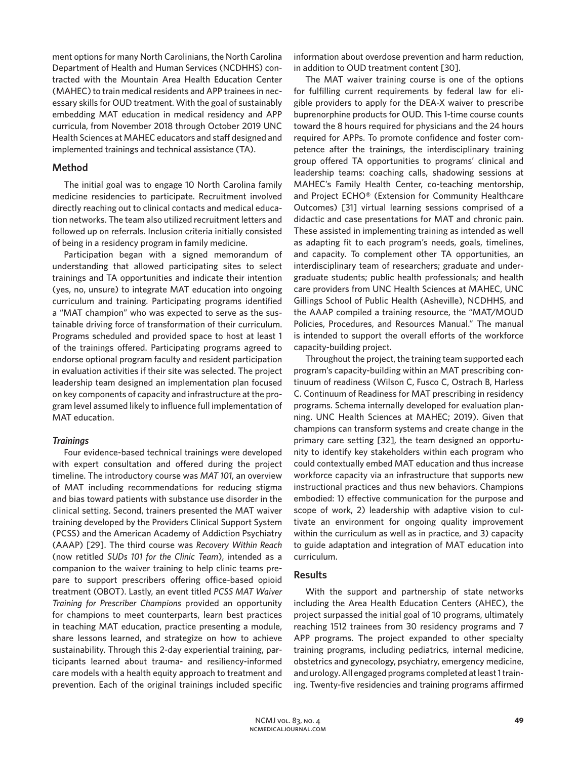ment options for many North Carolinians, the North Carolina Department of Health and Human Services (NCDHHS) contracted with the Mountain Area Health Education Center (MAHEC) to train medical residents and APP trainees in necessary skills for OUD treatment. With the goal of sustainably embedding MAT education in medical residency and APP curricula, from November 2018 through October 2019 UNC Health Sciences at MAHEC educators and staff designed and implemented trainings and technical assistance (TA).

#### **Method**

The initial goal was to engage 10 North Carolina family medicine residencies to participate. Recruitment involved directly reaching out to clinical contacts and medical education networks. The team also utilized recruitment letters and followed up on referrals. Inclusion criteria initially consisted of being in a residency program in family medicine.

Participation began with a signed memorandum of understanding that allowed participating sites to select trainings and TA opportunities and indicate their intention (yes, no, unsure) to integrate MAT education into ongoing curriculum and training. Participating programs identified a "MAT champion" who was expected to serve as the sustainable driving force of transformation of their curriculum. Programs scheduled and provided space to host at least 1 of the trainings offered. Participating programs agreed to endorse optional program faculty and resident participation in evaluation activities if their site was selected. The project leadership team designed an implementation plan focused on key components of capacity and infrastructure at the program level assumed likely to influence full implementation of MAT education.

#### *Trainings*

Four evidence-based technical trainings were developed with expert consultation and offered during the project timeline. The introductory course was *MAT 101*, an overview of MAT including recommendations for reducing stigma and bias toward patients with substance use disorder in the clinical setting. Second, trainers presented the MAT waiver training developed by the Providers Clinical Support System (PCSS) and the American Academy of Addiction Psychiatry (AAAP) [29]. The third course was *Recovery Within Reach*  (now retitled *SUDs 101 for the Clinic Team*), intended as a companion to the waiver training to help clinic teams prepare to support prescribers offering office-based opioid treatment (OBOT). Lastly, an event titled *PCSS MAT Waiver Training for Prescriber Champions* provided an opportunity for champions to meet counterparts, learn best practices in teaching MAT education, practice presenting a module, share lessons learned, and strategize on how to achieve sustainability. Through this 2-day experiential training, participants learned about trauma- and resiliency-informed care models with a health equity approach to treatment and prevention. Each of the original trainings included specific

information about overdose prevention and harm reduction, in addition to OUD treatment content [30].

The MAT waiver training course is one of the options for fulfilling current requirements by federal law for eligible providers to apply for the DEA-X waiver to prescribe buprenorphine products for OUD. This 1-time course counts toward the 8 hours required for physicians and the 24 hours required for APPs. To promote confidence and foster competence after the trainings, the interdisciplinary training group offered TA opportunities to programs' clinical and leadership teams: coaching calls, shadowing sessions at MAHEC's Family Health Center, co-teaching mentorship, and Project ECHO® (Extension for Community Healthcare Outcomes) [31] virtual learning sessions comprised of a didactic and case presentations for MAT and chronic pain. These assisted in implementing training as intended as well as adapting fit to each program's needs, goals, timelines, and capacity. To complement other TA opportunities, an interdisciplinary team of researchers; graduate and undergraduate students; public health professionals; and health care providers from UNC Health Sciences at MAHEC, UNC Gillings School of Public Health (Asheville), NCDHHS, and the AAAP compiled a training resource, the "MAT/MOUD Policies, Procedures, and Resources Manual." The manual is intended to support the overall efforts of the workforce capacity-building project.

Throughout the project, the training team supported each program's capacity-building within an MAT prescribing continuum of readiness (Wilson C, Fusco C, Ostrach B, Harless C. Continuum of Readiness for MAT prescribing in residency programs. Schema internally developed for evaluation planning. UNC Health Sciences at MAHEC; 2019). Given that champions can transform systems and create change in the primary care setting [32], the team designed an opportunity to identify key stakeholders within each program who could contextually embed MAT education and thus increase workforce capacity via an infrastructure that supports new instructional practices and thus new behaviors. Champions embodied: 1) effective communication for the purpose and scope of work, 2) leadership with adaptive vision to cultivate an environment for ongoing quality improvement within the curriculum as well as in practice, and 3) capacity to guide adaptation and integration of MAT education into curriculum.

## **Results**

With the support and partnership of state networks including the Area Health Education Centers (AHEC), the project surpassed the initial goal of 10 programs, ultimately reaching 1512 trainees from 30 residency programs and 7 APP programs. The project expanded to other specialty training programs, including pediatrics, internal medicine, obstetrics and gynecology, psychiatry, emergency medicine, and urology. All engaged programs completed at least 1 training. Twenty-five residencies and training programs affirmed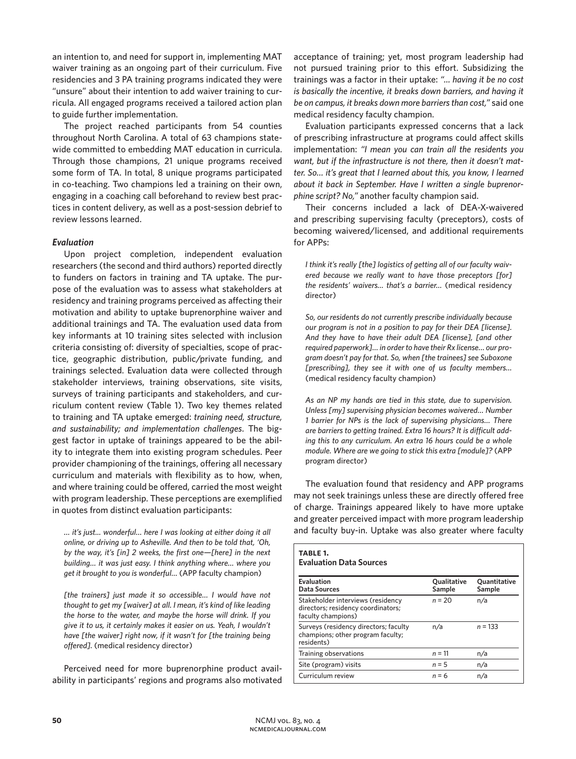an intention to, and need for support in, implementing MAT waiver training as an ongoing part of their curriculum. Five residencies and 3 PA training programs indicated they were "unsure" about their intention to add waiver training to curricula. All engaged programs received a tailored action plan to guide further implementation.

The project reached participants from 54 counties throughout North Carolina. A total of 63 champions statewide committed to embedding MAT education in curricula. Through those champions, 21 unique programs received some form of TA. In total, 8 unique programs participated in co-teaching. Two champions led a training on their own, engaging in a coaching call beforehand to review best practices in content delivery, as well as a post-session debrief to review lessons learned.

### *Evaluation*

Upon project completion, independent evaluation researchers (the second and third authors) reported directly to funders on factors in training and TA uptake. The purpose of the evaluation was to assess what stakeholders at residency and training programs perceived as affecting their motivation and ability to uptake buprenorphine waiver and additional trainings and TA. The evaluation used data from key informants at 10 training sites selected with inclusion criteria consisting of: diversity of specialties, scope of practice, geographic distribution, public/private funding, and trainings selected. Evaluation data were collected through stakeholder interviews, training observations, site visits, surveys of training participants and stakeholders, and curriculum content review (Table 1). Two key themes related to training and TA uptake emerged: *training need, structure, and sustainability; and implementation challenges*. The biggest factor in uptake of trainings appeared to be the ability to integrate them into existing program schedules. Peer provider championing of the trainings, offering all necessary curriculum and materials with flexibility as to how, when, and where training could be offered, carried the most weight with program leadership. These perceptions are exemplified in quotes from distinct evaluation participants:

*… it's just... wonderful… here I was looking at either doing it all online, or driving up to Asheville. And then to be told that, 'Oh, by the way, it's [in] 2 weeks, the first one—[here] in the next building… it was just easy. I think anything where… where you get it brought to you is wonderful…* (APP faculty champion)

*[the trainers] just made it so accessible… I would have not thought to get my [waiver] at all. I mean, it's kind of like leading the horse to the water, and maybe the horse will drink. If you give it to us, it certainly makes it easier on us. Yeah, I wouldn't have [the waiver] right now, if it wasn't for [the training being offered].* (medical residency director)

Perceived need for more buprenorphine product availability in participants' regions and programs also motivated acceptance of training; yet, most program leadership had not pursued training prior to this effort. Subsidizing the trainings was a factor in their uptake: *"... having it be no cost is basically the incentive, it breaks down barriers, and having it be on campus, it breaks down more barriers than cost,"* said one medical residency faculty champion.

Evaluation participants expressed concerns that a lack of prescribing infrastructure at programs could affect skills implementation: *"I mean you can train all the residents you want, but if the infrastructure is not there, then it doesn't matter. So… it's great that I learned about this, you know, I learned about it back in September. Have I written a single buprenorphine script? No,"* another faculty champion said.

Their concerns included a lack of DEA-X-waivered and prescribing supervising faculty (preceptors), costs of becoming waivered/licensed, and additional requirements for APPs:

*I think it's really [the] logistics of getting all of our faculty waivered because we really want to have those preceptors [for] the residents' waivers… that's a barrier…* (medical residency director)

*So, our residents do not currently prescribe individually because our program is not in a position to pay for their DEA [license]. And they have to have their adult DEA [license], [and other required paperwork]… in order to have their Rx license… our program doesn't pay for that. So, when [the trainees] see Suboxone [prescribing], they see it with one of us faculty members…* (medical residency faculty champion)

*As an NP my hands are tied in this state, due to supervision. Unless [my] supervising physician becomes waivered… Number 1 barrier for NPs is the lack of supervising physicians… There are barriers to getting trained. Extra 16 hours? It is difficult adding this to any curriculum. An extra 16 hours could be a whole module. Where are we going to stick this extra [module]?* (APP program director)

The evaluation found that residency and APP programs may not seek trainings unless these are directly offered free of charge. Trainings appeared likely to have more uptake and greater perceived impact with more program leadership and faculty buy-in. Uptake was also greater where faculty

| <b>TABLE 1.</b><br><b>Evaluation Data Sources</b>                                             |                       |                        |
|-----------------------------------------------------------------------------------------------|-----------------------|------------------------|
| Evaluation<br>Data Sources                                                                    | Qualitative<br>Sample | Quantitative<br>Sample |
| Stakeholder interviews (residency<br>directors; residency coordinators;<br>faculty champions) | $n = 20$              | n/a                    |
| Surveys (residency directors; faculty<br>champions; other program faculty;<br>residents)      | n/a                   | $n = 133$              |
| Training observations                                                                         | $n = 11$              | n/a                    |
| Site (program) visits                                                                         | $n = 5$               | n/a                    |
| Curriculum review                                                                             | $n = 6$               | n/a                    |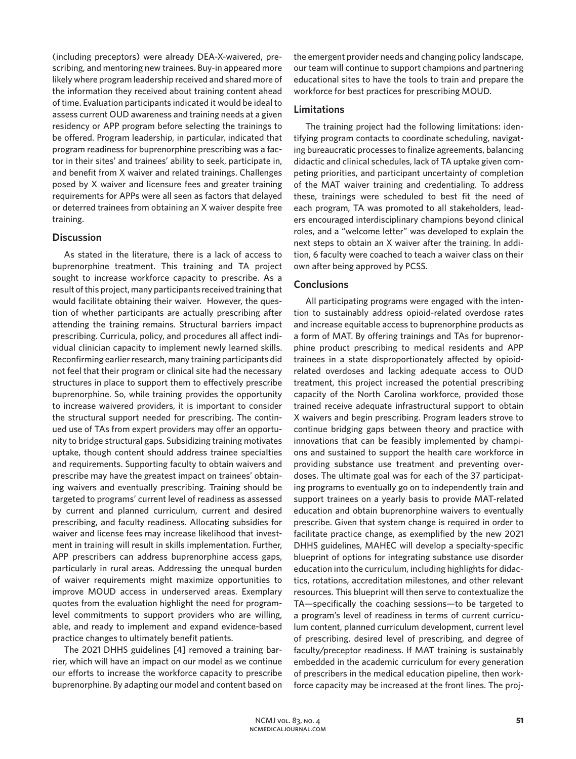(including preceptors) were already DEA-X-waivered, prescribing, and mentoring new trainees. Buy-in appeared more likely where program leadership received and shared more of the information they received about training content ahead of time. Evaluation participants indicated it would be ideal to assess current OUD awareness and training needs at a given residency or APP program before selecting the trainings to be offered. Program leadership, in particular, indicated that program readiness for buprenorphine prescribing was a factor in their sites' and trainees' ability to seek, participate in, and benefit from X waiver and related trainings. Challenges posed by X waiver and licensure fees and greater training requirements for APPs were all seen as factors that delayed or deterred trainees from obtaining an X waiver despite free training.

### **Discussion**

As stated in the literature, there is a lack of access to buprenorphine treatment. This training and TA project sought to increase workforce capacity to prescribe. As a result of this project, many participants received training that would facilitate obtaining their waiver. However, the question of whether participants are actually prescribing after attending the training remains. Structural barriers impact prescribing. Curricula, policy, and procedures all affect individual clinician capacity to implement newly learned skills. Reconfirming earlier research, many training participants did not feel that their program or clinical site had the necessary structures in place to support them to effectively prescribe buprenorphine. So, while training provides the opportunity to increase waivered providers, it is important to consider the structural support needed for prescribing. The continued use of TAs from expert providers may offer an opportunity to bridge structural gaps. Subsidizing training motivates uptake, though content should address trainee specialties and requirements. Supporting faculty to obtain waivers and prescribe may have the greatest impact on trainees' obtaining waivers and eventually prescribing. Training should be targeted to programs' current level of readiness as assessed by current and planned curriculum, current and desired prescribing, and faculty readiness. Allocating subsidies for waiver and license fees may increase likelihood that investment in training will result in skills implementation. Further, APP prescribers can address buprenorphine access gaps, particularly in rural areas. Addressing the unequal burden of waiver requirements might maximize opportunities to improve MOUD access in underserved areas. Exemplary quotes from the evaluation highlight the need for programlevel commitments to support providers who are willing, able, and ready to implement and expand evidence-based practice changes to ultimately benefit patients.

The 2021 DHHS guidelines [4] removed a training barrier, which will have an impact on our model as we continue our efforts to increase the workforce capacity to prescribe buprenorphine. By adapting our model and content based on the emergent provider needs and changing policy landscape, our team will continue to support champions and partnering educational sites to have the tools to train and prepare the workforce for best practices for prescribing MOUD.

## **Limitations**

The training project had the following limitations: identifying program contacts to coordinate scheduling, navigating bureaucratic processes to finalize agreements, balancing didactic and clinical schedules, lack of TA uptake given competing priorities, and participant uncertainty of completion of the MAT waiver training and credentialing. To address these, trainings were scheduled to best fit the need of each program, TA was promoted to all stakeholders, leaders encouraged interdisciplinary champions beyond clinical roles, and a "welcome letter" was developed to explain the next steps to obtain an X waiver after the training. In addition, 6 faculty were coached to teach a waiver class on their own after being approved by PCSS.

### **Conclusions**

All participating programs were engaged with the intention to sustainably address opioid-related overdose rates and increase equitable access to buprenorphine products as a form of MAT. By offering trainings and TAs for buprenorphine product prescribing to medical residents and APP trainees in a state disproportionately affected by opioidrelated overdoses and lacking adequate access to OUD treatment, this project increased the potential prescribing capacity of the North Carolina workforce, provided those trained receive adequate infrastructural support to obtain X waivers and begin prescribing. Program leaders strove to continue bridging gaps between theory and practice with innovations that can be feasibly implemented by champions and sustained to support the health care workforce in providing substance use treatment and preventing overdoses. The ultimate goal was for each of the 37 participating programs to eventually go on to independently train and support trainees on a yearly basis to provide MAT-related education and obtain buprenorphine waivers to eventually prescribe. Given that system change is required in order to facilitate practice change, as exemplified by the new 2021 DHHS guidelines, MAHEC will develop a specialty-specific blueprint of options for integrating substance use disorder education into the curriculum, including highlights for didactics, rotations, accreditation milestones, and other relevant resources. This blueprint will then serve to contextualize the TA—specifically the coaching sessions—to be targeted to a program's level of readiness in terms of current curriculum content, planned curriculum development, current level of prescribing, desired level of prescribing, and degree of faculty/preceptor readiness. If MAT training is sustainably embedded in the academic curriculum for every generation of prescribers in the medical education pipeline, then workforce capacity may be increased at the front lines. The proj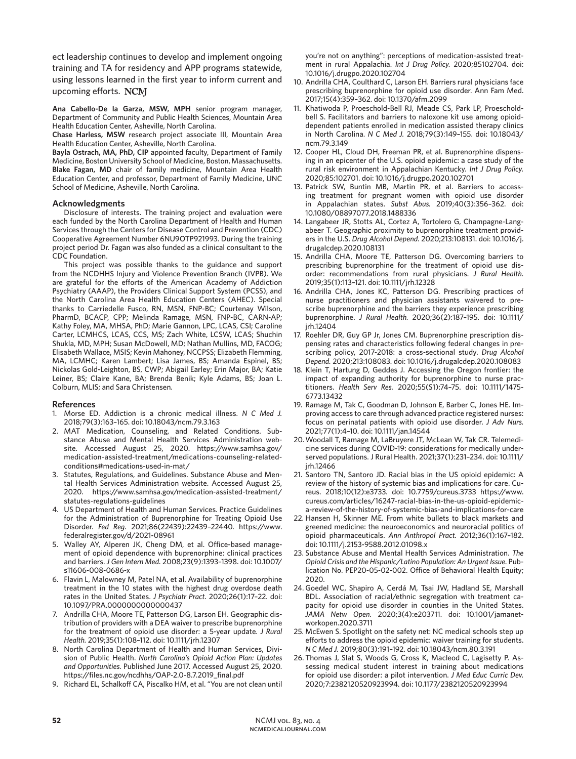ect leadership continues to develop and implement ongoing training and TA for residency and APP programs statewide, using lessons learned in the first year to inform current and upcoming efforts.

**Ana Cabello-De la Garza, MSW, MPH** senior program manager, Department of Community and Public Health Sciences, Mountain Area Health Education Center, Asheville, North Carolina.

**Chase Harless, MSW** research project associate III, Mountain Area Health Education Center, Asheville, North Carolina.

**Bayla Ostrach, MA, PhD, CIP** appointed faculty, Department of Family Medicine, Boston University School of Medicine, Boston, Massachusetts. **Blake Fagan, MD** chair of family medicine, Mountain Area Health Education Center, and professor, Department of Family Medicine, UNC School of Medicine, Asheville, North Carolina.

#### **Acknowledgments**

Disclosure of interests. The training project and evaluation were each funded by the North Carolina Department of Health and Human Services through the Centers for Disease Control and Prevention (CDC) Cooperative Agreement Number 6NU9OTP921993. During the training project period Dr. Fagan was also funded as a clinical consultant to the CDC Foundation.

This project was possible thanks to the guidance and support from the NCDHHS Injury and Violence Prevention Branch (IVPB). We are grateful for the efforts of the American Academy of Addiction Psychiatry (AAAP), the Providers Clinical Support System (PCSS), and the North Carolina Area Health Education Centers (AHEC). Special thanks to Carriedelle Fusco, RN, MSN, FNP-BC; Courtenay Wilson, PharmD, BCACP, CPP; Melinda Ramage, MSN, FNP-BC, CARN-AP; Kathy Foley, MA, MHSA, PhD; Marie Gannon, LPC, LCAS, CSI; Caroline Carter, LCMHCS, LCAS, CCS, MS; Zach White, LCSW, LCAS; Shuchin Shukla, MD, MPH; Susan McDowell, MD; Nathan Mullins, MD, FACOG; Elisabeth Wallace, MSIS; Kevin Mahoney, NCCPSS; Elizabeth Flemming, MA, LCMHC; Karen Lambert; Lisa James, BS; Amanda Espinel, BS; Nickolas Gold-Leighton, BS, CWP; Abigail Earley; Erin Major, BA; Katie Leiner, BS; Claire Kane, BA; Brenda Benik; Kyle Adams, BS; Joan L. Colburn, MLIS; and Sara Christensen.

#### **References**

- 1. Morse ED. Addiction is a chronic medical illness. *N C Med J.*  2018;79(3):163–165. doi: 10.18043/ncm.79.3.163
- 2. MAT Medication, Counseling, and Related Conditions. Substance Abuse and Mental Health Services Administration website. Accessed August 25, 2020. https://www.samhsa.gov/ medication-assisted-treatment/medications-counseling-relatedconditions#medications-used-in-mat/
- 3. Statutes, Regulations, and Guidelines. Substance Abuse and Mental Health Services Administration website. Accessed August 25, 2020. https://www.samhsa.gov/medication-assisted-treatment/ statutes-regulations-guidelines
- 4. US Department of Health and Human Services. Practice Guidelines for the Administration of Buprenorphine for Treating Opioid Use Disorder. *Fed Reg.* 2021;86(22439):22439–22440. https://www. federalregister.gov/d/2021-08961
- 5. Walley AY, Alperen JK, Cheng DM, et al. Office-based management of opioid dependence with buprenorphine: clinical practices and barriers. *J Gen Intern Med.* 2008;23(9):1393–1398. doi: 10.1007/ s11606-008-0686-x
- 6. Flavin L, Malowney M, Patel NA, et al. Availability of buprenorphine treatment in the 10 states with the highest drug overdose death rates in the United States. *J Psychiatr Pract.* 2020;26(1):17–22. doi: 10.1097/PRA.0000000000000437
- 7. Andrilla CHA, Moore TE, Patterson DG, Larson EH. Geographic distribution of providers with a DEA waiver to prescribe buprenorphine for the treatment of opioid use disorder: a 5-year update. *J Rural Health.* 2019;35(1):108–112. doi: 10.1111/jrh.12307
- 8. North Carolina Department of Health and Human Services, Division of Public Health. *North Carolina's Opioid Action Plan: Updates and Opportunities.* Published June 2017. Accessed August 25, 2020. https://files.nc.gov/ncdhhs/OAP-2.0-8.7.2019\_final.pdf
- 9. Richard EL, Schalkoff CA, Piscalko HM, et al. "You are not clean until

you're not on anything": perceptions of medication-assisted treatment in rural Appalachia. *Int J Drug Policy.* 2020;85102704. doi: 10.1016/j.drugpo.2020.102704

- 10. Andrilla CHA, Coulthard C, Larson EH. Barriers rural physicians face prescribing buprenorphine for opioid use disorder. Ann Fam Med. 2017;15(4):359–362. doi: 10.1370/afm.2099
- 11. Khatiwoda P, Proeschold-Bell RJ, Meade CS, Park LP, Proescholdbell S. Facilitators and barriers to naloxone kit use among opioiddependent patients enrolled in medication assisted therapy clinics in North Carolina. *N C Med J.* 2018;79(3):149–155. doi: 10.18043/ ncm.79.3.149
- 12. Cooper HL, Cloud DH, Freeman PR, et al. Buprenorphine dispensing in an epicenter of the U.S. opioid epidemic: a case study of the rural risk environment in Appalachian Kentucky. *Int J Drug Policy.*  2020;85:102701. doi: 10.1016/j.drugpo.2020.102701
- 13. Patrick SW, Buntin MB, Martin PR, et al. Barriers to accessing treatment for pregnant women with opioid use disorder in Appalachian states. *Subst Abus.* 2019;40(3):356–362. doi: 10.1080/08897077.2018.1488336
- 14. Langabeer JR, Stotts AL, Cortez A, Tortolero G, Champagne-Langabeer T. Geographic proximity to buprenorphine treatment providers in the U.S. *Drug Alcohol Depend.* 2020;213:108131. doi: 10.1016/j. drugalcdep.2020.108131
- 15. Andrilla CHA, Moore TE, Patterson DG. Overcoming barriers to prescribing buprenorphine for the treatment of opioid use disorder: recommendations from rural physicians. *J Rural Health.*  2019;35(1):113–121. doi: 10.1111/jrh.12328
- 16. Andrilla CHA, Jones KC, Patterson DG. Prescribing practices of nurse practitioners and physician assistants waivered to prescribe buprenorphine and the barriers they experience prescribing buprenorphine. *J Rural Health.* 2020;36(2):187–195. doi: 10.1111/ jrh.12404
- 17. Roehler DR, Guy GP Jr, Jones CM. Buprenorphine prescription dispensing rates and characteristics following federal changes in prescribing policy, 2017-2018: a cross-sectional study. *Drug Alcohol Depend.* 2020;213:108083. doi: 10.1016/j.drugalcdep.2020.108083
- 18. Klein T, Hartung D, Geddes J. Accessing the Oregon frontier: the impact of expanding authority for buprenorphine to nurse practitioners. *Health Serv Res.* 2020;55(S1):74–75. doi: 10.1111/1475- 6773.13432
- 19. Ramage M, Tak C, Goodman D, Johnson E, Barber C, Jones HE. Improving access to care through advanced practice registered nurses: focus on perinatal patients with opioid use disorder. *J Adv Nurs.*  2021;77(1):4–10. doi: 10.1111/jan.14544
- 20.Woodall T, Ramage M, LaBruyere JT, McLean W, Tak CR. Telemedicine services during COVID-19: considerations for medically underserved populations. J Rural Health. 2021;37(1):231–234. doi: 10.1111/ jrh.12466
- 21. Santoro TN, Santoro JD. Racial bias in the US opioid epidemic: A review of the history of systemic bias and implications for care. Cureus. 2018;10(12):e3733. doi: 10.7759/cureus.3733 https://www. cureus.com/articles/16247-racial-bias-in-the-us-opioid-epidemica-review-of-the-history-of-systemic-bias-and-implications-for-care
- 22. Hansen H, Skinner ME. From white bullets to black markets and greened medicine: the neuroeconomics and neuroracial politics of opioid pharmaceuticals. *Ann Anthropol Pract.* 2012;36(1):167–182. doi: 10.1111/j.2153-9588.2012.01098.x
- 23. Substance Abuse and Mental Health Services Administration. *The Opioid Crisis and the Hispanic/Latino Population: An Urgent Issue.* Publication No. PEP20-05-02-002. Office of Behavioral Health Equity; 2020.
- 24. Goedel WC, Shapiro A, Cerdá M, Tsai JW, Hadland SE, Marshall BDL. Association of racial/ethnic segregation with treatment capacity for opioid use disorder in counties in the United States. *JAMA Netw Open.* 2020;3(4):e203711. doi: 10.1001/jamanetworkopen.2020.3711
- 25. McEwen S. Spotlight on the safety net: NC medical schools step up efforts to address the opioid epidemic: waiver training for students. *N C Med J.* 2019;80(3):191–192. doi: 10.18043/ncm.80.3.191
- 26. Thomas J, Slat S, Woods G, Cross K, Macleod C, Lagisetty P. Assessing medical student interest in training about medications for opioid use disorder: a pilot intervention. *J Med Educ Curric Dev.*  2020;7:2382120520923994. doi: 10.1177/2382120520923994